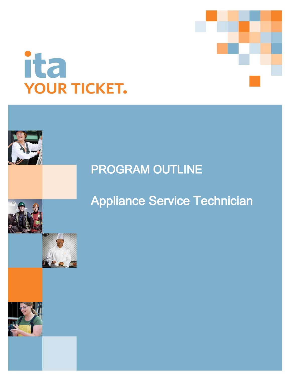



# **PROGRAM OUTLINE**

# Appliance Service Technician

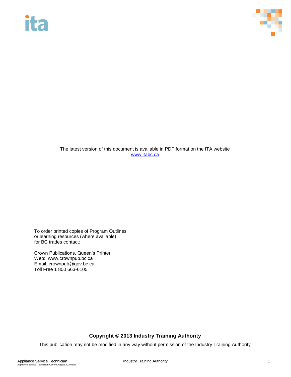# ita



The latest version of this document is available in PDF format on the ITA website [www.itabc.ca](http://www.itabc.ca/)

To order printed copies of Program Outlines or learning resources (where available) for BC trades contact:

Crown Publications, Queen's Printer Web: www.crownpub.bc.ca Email: crownpub@gov.bc.ca Toll Free 1 800 663-6105

## **Copyright © 2013 Industry Training Authority**

This publication may not be modified in any way without permission of the Industry Training Authority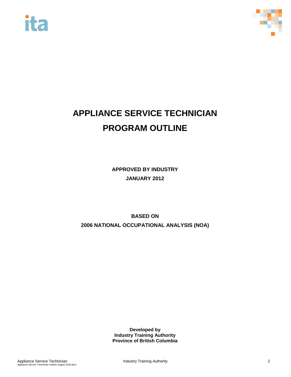



# **APPLIANCE SERVICE TECHNICIAN PROGRAM OUTLINE**

**APPROVED BY INDUSTRY JANUARY 2012**

**BASED ON 2006 NATIONAL OCCUPATIONAL ANALYSIS (NOA)**

> **Developed by Industry Training Authority Province of British Columbia**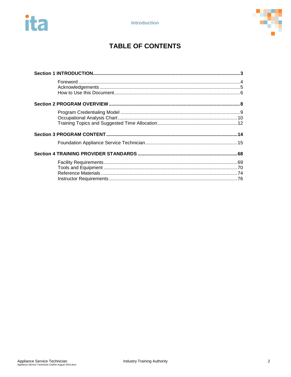



# **TABLE OF CONTENTS**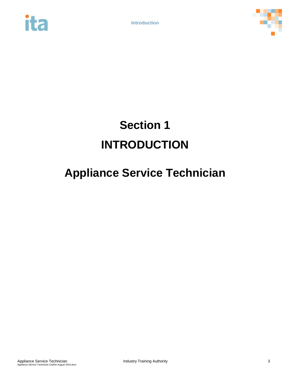<span id="page-4-0"></span>



# **Section 1 INTRODUCTION**

# **Appliance Service Technician**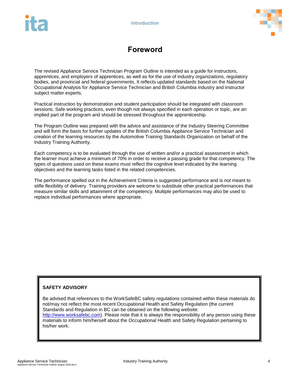

# **Foreword**

<span id="page-5-0"></span>The revised Appliance Service Technician Program Outline is intended as a guide for instructors, apprentices, and employers of apprentices, as well as for the use of industry organizations, regulatory bodies, and provincial and federal governments. It reflects updated standards based on the National Occupational Analysis for Appliance Service Technician and British Columbia industry and instructor subject matter experts.

Practical instruction by demonstration and student participation should be integrated with classroom sessions. Safe working practices, even though not always specified in each operation or topic, are an implied part of the program and should be stressed throughout the apprenticeship.

The Program Outline was prepared with the advice and assistance of the Industry Steering Committee and will form the basis for further updates of the British Columbia Appliance Service Technician and creation of the learning resources by the Automotive Training Standards Organization on behalf of the Industry Training Authority.

Each competency is to be evaluated through the use of written and/or a practical assessment in which the learner must achieve a minimum of 70% in order to receive a passing grade for that competency. The types of questions used on these exams must reflect the cognitive level indicated by the learning objectives and the learning tasks listed in the related competencies.

The performance spelled out in the Achievement Criteria is suggested performance and is not meant to stifle flexibility of delivery. Training providers are welcome to substitute other practical performances that measure similar skills and attainment of the competency. Multiple performances may also be used to replace individual performances where appropriate.

## **SAFETY ADVISORY**

Be advised that references to the WorkSafeBC safety regulations contained within these materials do not/may not reflect the most recent Occupational Health and Safety Regulation (the current Standards and Regulation in BC can be obtained on the following website:

[http://www.worksafebc.com\)](http://www.worksafebc.com/). Please note that it is always the responsibility of any person using these materials to inform him/herself about the Occupational Health and Safety Regulation pertaining to his/her work.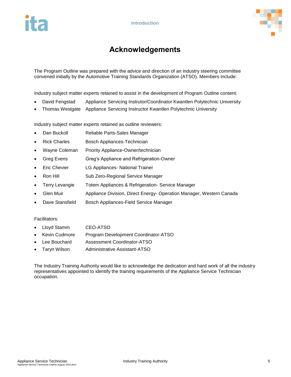

# **Acknowledgements**

<span id="page-6-0"></span>The Program Outline was prepared with the advice and direction of an industry steering committee convened initially by the Automotive Training Standards Organization (ATSO). Members include:

Industry subject matter experts retained to assist in the development of Program Outline content:

- David Fengstad Appliance Servicing Instrutor/Coordinator Kwantlen Polytechnic University
- Thomas Westgate Appliance Servicing Instructor Kwantlen Polytechnic University

Industry subject matter experts retained as outline reviewers:

- Dan Buckoll Reliable Parts-Sales Manager
- Rick Charles Bosch Appliances-Technician
- Wayne Coleman Priority Appliance-Owner/technician
- Greg Evens Greg's Appliance and Refrigeration-Owner
- Eric Chevier LG Appliances- National Trainer
- Ron Hill Sub Zero-Regional Service Manager
- Terry Levangie Totem Appliances & Refrigeration- Service Manager
- Glen Muir Appliance Division, Direct Energy- Operation Manager, Western Canada
- Dave Stansfield Bosch Appliances-Field Service Manager

Facilitators:

- Lloyd Stamm CEO-ATSO
- Kevin Cudmore Program Development Coordinator-ATSO
- Lee Bouchard Assessment Coordinator-ATSO
- Taryn Wilson Administrative Assistant-ATSO

The Industry Training Authority would like to acknowledge the dedication and hard work of all the industry representatives appointed to identify the training requirements of the Appliance Service Technician occupation.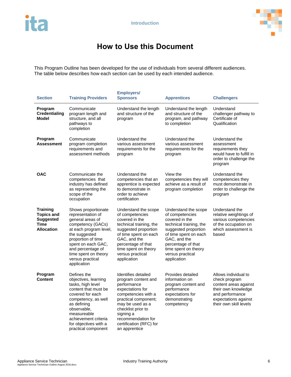

# **How to Use this Document**

<span id="page-7-0"></span>This Program Outline has been developed for the use of individuals from several different audiences. The table below describes how each section can be used by each intended audience.

| <b>Section</b>                                                                        | <b>Training Providers</b>                                                                                                                                                                                                                                | <b>Employers/</b><br><b>Sponsors</b>                                                                                                                                                                                                                  | <b>Apprentices</b>                                                                                                                                                                                                                     | <b>Challengers</b>                                                                                                                                         |
|---------------------------------------------------------------------------------------|----------------------------------------------------------------------------------------------------------------------------------------------------------------------------------------------------------------------------------------------------------|-------------------------------------------------------------------------------------------------------------------------------------------------------------------------------------------------------------------------------------------------------|----------------------------------------------------------------------------------------------------------------------------------------------------------------------------------------------------------------------------------------|------------------------------------------------------------------------------------------------------------------------------------------------------------|
| Program<br><b>Credentialing</b><br>Model                                              | Communicate<br>program length and<br>structure, and all<br>pathways to<br>completion                                                                                                                                                                     | Understand the length<br>and structure of the<br>program                                                                                                                                                                                              | Understand the length<br>and structure of the<br>program, and pathway<br>to completion                                                                                                                                                 | Understand<br>challenger pathway to<br>Certificate of<br>Qualification                                                                                     |
| Program<br><b>Assessment</b>                                                          | Communicate<br>program completion<br>requirements and<br>assessment methods                                                                                                                                                                              | Understand the<br>various assessment<br>requirements for the<br>program                                                                                                                                                                               | Understand the<br>various assessment<br>requirements for the<br>program                                                                                                                                                                | Understand the<br>assessment<br>requirements they<br>would have to fulfill in<br>order to challenge the<br>program                                         |
| <b>OAC</b>                                                                            | Communicate the<br>competencies that<br>industry has defined<br>as representing the<br>scope of the<br>occupation                                                                                                                                        | Understand the<br>competencies that an<br>apprentice is expected<br>to demonstrate in<br>order to achieve<br>certification                                                                                                                            | View the<br>competencies they will<br>achieve as a result of<br>program completion                                                                                                                                                     | Understand the<br>competencies they<br>must demonstrate in<br>order to challenge the<br>program                                                            |
| <b>Training</b><br><b>Topics and</b><br><b>Suggested</b><br>Time<br><b>Allocation</b> | Shows proportionate<br>representation of<br>general areas of<br>competency (GACs)<br>at each program level,<br>the suggested<br>proportion of time<br>spent on each GAC,<br>and percentage of<br>time spent on theory<br>versus practical<br>application | Understand the scope<br>of competencies<br>covered in the<br>technical training, the<br>suggested proportion<br>of time spent on each<br>GAC, and the<br>percentage of that<br>time spent on theory<br>versus practical<br>application                | Understand the scope<br>of competencies<br>covered in the<br>technical training, the<br>suggested proportion<br>of time spent on each<br>GAC, and the<br>percentage of that<br>time spent on theory<br>versus practical<br>application | Understand the<br>relative weightings of<br>various competencies<br>of the occupation on<br>which assessment is<br>based                                   |
| Program<br><b>Content</b>                                                             | Defines the<br>objectives, learning<br>tasks, high level<br>content that must be<br>covered for each<br>competency, as well<br>as defining<br>observable,<br>measureable<br>achievement criteria<br>for objectives with a<br>practical component         | Identifies detailed<br>program content and<br>performance<br>expectations for<br>competencies with a<br>practical component;<br>may be used as a<br>checklist prior to<br>signing a<br>recommendation for<br>certification (RFC) for<br>an apprentice | Provides detailed<br>information on<br>program content and<br>performance<br>expectations for<br>demonstrating<br>competency                                                                                                           | Allows individual to<br>check program<br>content areas against<br>their own knowledge<br>and performance<br>expectations against<br>their own skill levels |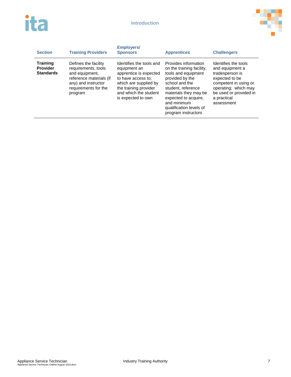



| <b>Section</b>                                         | <b>Training Providers</b>                                                                                                                          | <b>Employers/</b><br><b>Sponsors</b>                                                                                                                                                      | <b>Apprentices</b>                                                                                                                                                                                                                                    | <b>Challengers</b>                                                                                                                                                                   |
|--------------------------------------------------------|----------------------------------------------------------------------------------------------------------------------------------------------------|-------------------------------------------------------------------------------------------------------------------------------------------------------------------------------------------|-------------------------------------------------------------------------------------------------------------------------------------------------------------------------------------------------------------------------------------------------------|--------------------------------------------------------------------------------------------------------------------------------------------------------------------------------------|
| <b>Training</b><br><b>Provider</b><br><b>Standards</b> | Defines the facility<br>requirements, tools<br>and equipment,<br>reference materials (if<br>any) and instructor<br>requirements for the<br>program | Identifies the tools and<br>equipment an<br>apprentice is expected<br>to have access to:<br>which are supplied by<br>the training provider<br>and which the student<br>is expected to own | Provides information<br>on the training facility,<br>tools and equipment<br>provided by the<br>school and the<br>student. reference<br>materials they may be<br>expected to acquire.<br>and minimum<br>qualification levels of<br>program instructors | Identifies the tools<br>and equipment a<br>tradesperson is<br>expected to be<br>competent in using or<br>operating; which may<br>be used or provided in<br>a practical<br>assessment |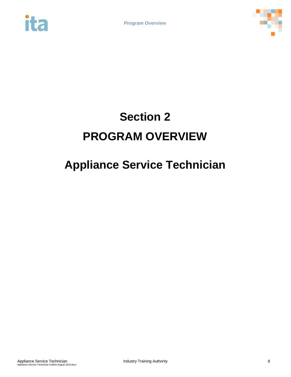<span id="page-9-0"></span>



# **Section 2 PROGRAM OVERVIEW**

# **Appliance Service Technician**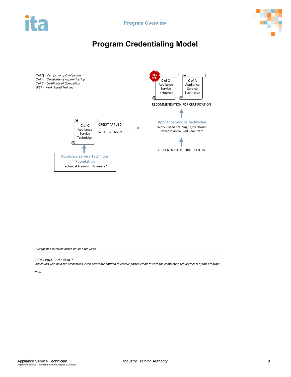<span id="page-10-0"></span>



# **Program Credentialing Model**



*\*Suggested duration based on 30-hour week*

CROSS-PROGRAM CREDITS

*Individuals who hold the credentials listed below are entitled to receive partial credit toward the completion requirements of this program*

*None*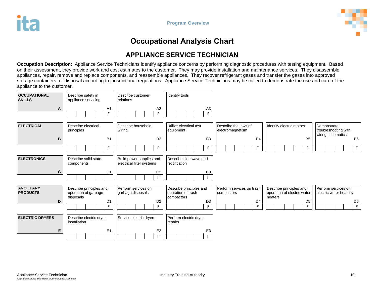

# **Occupational Analysis Chart**

# **APPLIANCE SERVICE TECHNICIAN**

**Occupation Description**: Appliance Service Technicians identify appliance concerns by performing diagnostic procedures with testing equipment. Based on their assessment, they provide work and cost estimates to the customer. They may provide installation and maintenance services. They disassemble appliances, repair, remove and replace components, and reassemble appliances. They recover refrigerant gases and transfer the gases into approved storage containers for disposal according to jurisdictional regulations. Appliance Service Technicians may be called to demonstrate the use and care of the appliance to the customer.

<span id="page-11-0"></span>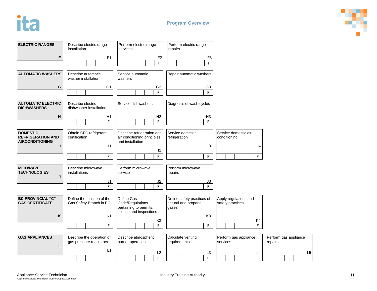



| <b>ELECTRIC RANGES</b><br>F                                                | Describe electric range<br>installation<br>F <sub>1</sub> | Perform electric range<br>services<br>F <sub>2</sub>                                | Perform electric range<br>repairs<br>F <sub>3</sub>        |                                            |                                  |
|----------------------------------------------------------------------------|-----------------------------------------------------------|-------------------------------------------------------------------------------------|------------------------------------------------------------|--------------------------------------------|----------------------------------|
| <b>AUTOMATIC WASHERS</b>                                                   | Describe automatic<br>washer installation                 | $\mathsf F$<br>Service automatic<br>washers                                         | $\mathsf F$<br>Repair automatic washers                    |                                            |                                  |
| G                                                                          | G <sub>1</sub>                                            | G <sub>2</sub><br>$\overline{F}$                                                    | G <sub>3</sub><br>$\overline{F}$                           |                                            |                                  |
| <b>AUTOMATIC ELECTRIC</b><br><b>DISHWASHERS</b><br>H                       | Describe electric<br>dishwasher installation<br>H1        | Service dishwashers<br>H2                                                           | Diagnosis of wash cycles<br>H <sub>3</sub>                 |                                            |                                  |
|                                                                            | $\mathsf F$                                               | F                                                                                   | F                                                          |                                            |                                  |
| <b>DOMESTIC</b><br><b>REFRIGERATION AND</b><br><b>AIRCONDITIONING</b><br>п | Obtain CFC refrigerant<br>certification<br>$\mathsf{I}$   | Describe refrigeration and<br>air conditioning principles<br>and installation       | Service domestic<br>refrigeration<br>13                    | Service domestic air<br>conditioning<br>14 |                                  |
|                                                                            | $\mathsf F$                                               | 2<br>$\overline{F}$                                                                 | F                                                          | F.                                         |                                  |
| <b>MICOWAVE</b><br><b>TECHNOLOGIES</b><br>J                                | Describe microwave<br>installations                       | Perform microwave<br>service                                                        | Perform microwave<br>repairs                               |                                            |                                  |
|                                                                            | J1<br>$\overline{F}$                                      | J2<br>$\overline{F}$                                                                | J3<br>$\overline{F}$                                       |                                            |                                  |
| <b>BC PROVINCIAL "C"</b><br><b>GAS CERTIFICATE</b>                         | Define the function of the<br>Gas Safety Branch in BC     | Define Gas<br>Code/Regulations<br>pertaining to permits,<br>licence and inspections | Define safety practices of<br>natural and propane<br>gases | Apply regulations and<br>safety practices  |                                  |
| Κ                                                                          | K <sub>1</sub><br>$\mathsf F$                             | K <sub>2</sub><br>F                                                                 | K <sub>3</sub><br>$\mathsf F$                              | K4<br>F                                    |                                  |
| <b>GAS APPLIANCES</b><br>L                                                 | Describe the operation of<br>gas pressure regulators      | Describe atmospheric<br>burner operation                                            | Calculate venting<br>requirements                          | Perform gas appliance<br>services          | Perform gas appliance<br>repairs |
|                                                                            | L1<br>F                                                   | L2<br>F                                                                             | L3<br>F                                                    | L4<br>$\mathsf F$                          |                                  |

 $\frac{\mathsf{L5}}{\mathsf{F}}$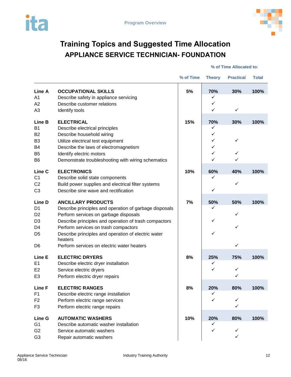<span id="page-13-0"></span>



**% of Time Allocated to:**

# **Training Topics and Suggested Time Allocation APPLIANCE SERVICE TECHNICIAN- FOUNDATION**

|                |                                                                | % of Time | <b>Theory</b> | <b>Practical</b> | <b>Total</b> |
|----------------|----------------------------------------------------------------|-----------|---------------|------------------|--------------|
| Line A         | <b>OCCUPATIONAL SKILLS</b>                                     | 5%        | 70%           | 30%              | 100%         |
| A1             | Describe safety in appliance servicing                         |           | ✓             |                  |              |
| A2             | Describe customer relations                                    |           | ✓             |                  |              |
| A <sub>3</sub> | Identify tools                                                 |           | ✓             | $\checkmark$     |              |
| Line B         | <b>ELECTRICAL</b>                                              | 15%       | 70%           | 30%              | 100%         |
| <b>B1</b>      | Describe electrical principles                                 |           | ✓             |                  |              |
| B <sub>2</sub> | Describe household wiring                                      |           | ✓             |                  |              |
| B <sub>3</sub> | Utilize electrical test equipment                              |           | ✓             | ✓                |              |
| B4             | Describe the laws of electromagnetism                          |           | ✓             |                  |              |
| B <sub>5</sub> | Identify electric motors                                       |           | ✓             | ✓                |              |
| B <sub>6</sub> | Demonstrate troubleshooting with wiring schematics             |           | ✓             | ✓                |              |
| Line C         | <b>ELECTRONICS</b>                                             | 10%       | 60%           | 40%              | 100%         |
| C <sub>1</sub> | Describe solid state components                                |           | ✓             |                  |              |
| C <sub>2</sub> | Build power supplies and electrical filter systems             |           |               | $\checkmark$     |              |
| C <sub>3</sub> | Describe sine wave and rectification                           |           | ✓             |                  |              |
| Line D         | <b>ANCILLARY PRODUCTS</b>                                      | 7%        | 50%           | 50%              | 100%         |
| D <sub>1</sub> | Describe principles and operation of garbage disposals         |           | ✓             |                  |              |
| D <sub>2</sub> | Perform services on garbage disposals                          |           |               | ✓                |              |
| D <sub>3</sub> | Describe principles and operation of trash compactors          |           | ✓             |                  |              |
| D4             | Perform services on trash compactors                           |           |               | ✓                |              |
| D <sub>5</sub> | Describe principles and operation of electric water<br>heaters |           | ✓             |                  |              |
| D6             | Perform services on electric water heaters                     |           |               | ✓                |              |
| Line E         | <b>ELECTRIC DRYERS</b>                                         | 8%        | 25%           | 75%              | 100%         |
| E <sub>1</sub> | Describe electric dryer installation                           |           | ✓             |                  |              |
| E <sub>2</sub> | Service electric dryers                                        |           | ✓             | ✓                |              |
| E <sub>3</sub> | Perform electric dryer repairs                                 |           |               | ✓                |              |
| <b>Line F</b>  | <b>ELECTRIC RANGES</b>                                         | 8%        | 20%           | 80%              | 100%         |
| F1             | Describe electric range installation                           |           | ✓             |                  |              |
| F <sub>2</sub> | Perform electric range services                                |           | ✓             | ✓                |              |
| F <sub>3</sub> | Perform electric range repairs                                 |           |               | ✓                |              |
| Line G         | <b>AUTOMATIC WASHERS</b>                                       | 10%       | 20%           | 80%              | 100%         |
| G <sub>1</sub> | Describe automatic washer installation                         |           | ✓             |                  |              |
| G <sub>2</sub> | Service automatic washers                                      |           | ✓             | $\checkmark$     |              |
| G <sub>3</sub> | Repair automatic washers                                       |           |               | $\checkmark$     |              |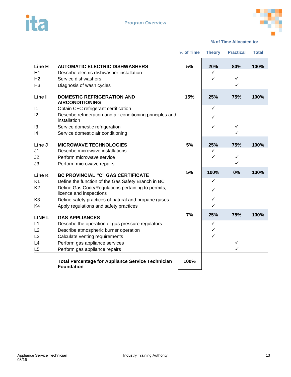



### **% of Time Allocated to:**

|                |                                                                               | % of Time | <b>Theory</b> | <b>Practical</b> | <b>Total</b> |
|----------------|-------------------------------------------------------------------------------|-----------|---------------|------------------|--------------|
| Line H         | <b>AUTOMATIC ELECTRIC DISHWASHERS</b>                                         | 5%        | 20%           | 80%              | 100%         |
| H1             | Describe electric dishwasher installation                                     |           | ✓             |                  |              |
| H <sub>2</sub> | Service dishwashers                                                           |           | ✓             | ✓                |              |
| H <sub>3</sub> | Diagnosis of wash cycles                                                      |           |               | ✓                |              |
| Line I         | <b>DOMESTIC REFRIGERATION AND</b><br><b>AIRCONDITIONING</b>                   | 15%       | 25%           | 75%              | 100%         |
| $\vert$ 1      | Obtain CFC refrigerant certification                                          |           | ✓             |                  |              |
| 12             | Describe refrigeration and air conditioning principles and<br>installation    |           | ✓             |                  |              |
| 13             | Service domestic refrigeration                                                |           | ✓             | $\checkmark$     |              |
| 14             | Service domestic air conditioning                                             |           |               | ✓                |              |
| Line J         | <b>MICROWAVE TECHNOLOGIES</b>                                                 | 5%        | 25%           | 75%              | 100%         |
| J1             | Describe microwave installations                                              |           | ✓             |                  |              |
| J2             | Perform microwave service                                                     |           | ✓             | ✓                |              |
| J3             | Perform microwave repairs                                                     |           |               | ✓                |              |
| Line K         | <b>BC PROVINCIAL "C" GAS CERTIFICATE</b>                                      | 5%        | 100%          | 0%               | 100%         |
| K <sub>1</sub> | Define the function of the Gas Safety Branch in BC                            |           | ✓             |                  |              |
| K <sub>2</sub> | Define Gas Code/Regulations pertaining to permits,<br>licence and inspections |           | ✓             |                  |              |
| K <sub>3</sub> | Define safety practices of natural and propane gases                          |           | ✓             |                  |              |
| K4             | Apply regulations and safety practices                                        |           | ✓             |                  |              |
| <b>LINE L</b>  | <b>GAS APPLIANCES</b>                                                         | 7%        | 25%           | 75%              | 100%         |
| L1             | Describe the operation of gas pressure regulators                             |           | ✓             |                  |              |
| L2             | Describe atmospheric burner operation                                         |           | ✓             |                  |              |
| L <sub>3</sub> | Calculate venting requirements                                                |           | ✓             |                  |              |
| L4             | Perform gas appliance services                                                |           |               | ✓                |              |
| L <sub>5</sub> | Perform gas appliance repairs                                                 |           |               | ✓                |              |
|                | <b>Total Percentage for Appliance Service Technician</b><br><b>Foundation</b> | 100%      |               |                  |              |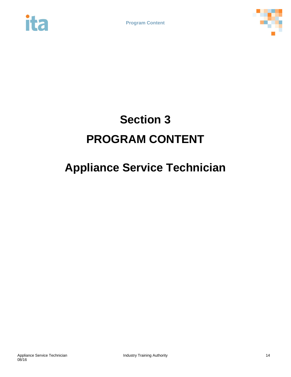<span id="page-15-0"></span>



# **Section 3 PROGRAM CONTENT**

# **Appliance Service Technician**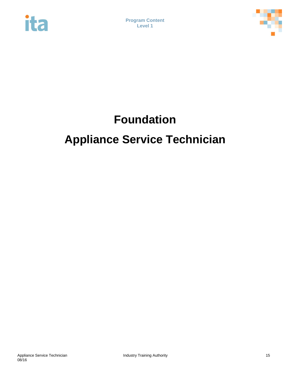<span id="page-16-0"></span>



# **Foundation Appliance Service Technician**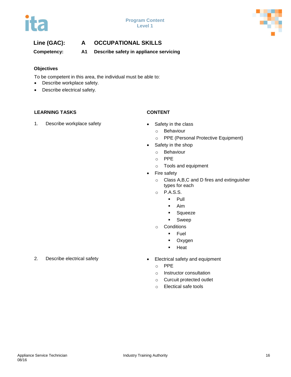

# **Line (GAC): A OCCUPATIONAL SKILLS**

**Competency: A1 Describe safety in appliance servicing**

### **Objectives**

To be competent in this area, the individual must be able to:

- Describe workplace safety.
- Describe electrical safety.

### **LEARNING TASKS CONTENT**

1. Describe workplace safety **Safety Safety** in the class

- - o Behaviour
	- o PPE (Personal Protective Equipment)
- Safety in the shop
	- o Behaviour
	- o PPE
	- o Tools and equipment
- Fire safety
	- o Class A,B,C and D fires and extinguisher types for each
	- o P.A.S.S.
		- $Pull$
		- Aim
		- **Squeeze**
		- **Sweep**
	- o Conditions
		- **Fuel**
		- **Dxygen**
		- **Heat**
- 2. Describe electrical safety **Electrical safety and equipment** 
	- o PPE
	- o Instructor consultation
	- o Curcuit protected outlet
	- o Electical safe tools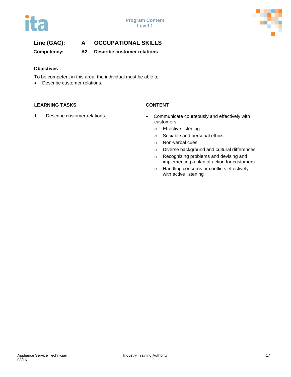

# **Line (GAC): A OCCUPATIONAL SKILLS**

**Competency: A2 Describe customer relations**

### **Objectives**

To be competent in this area, the individual must be able to:

• Describe customer relations.

## **LEARNING TASKS CONTENT**

- 1. Describe customer relations **Communicate courteously and effectively with** customers
	- o Effective listening
	- o Sociable and personal ethics
	- o Non-verbal cues
	- o Diverse background and cultural differences
	- o Recognizing problems and devising and implementing a plan of action for customers
	- o Handling concerns or conflicts effectively with active listening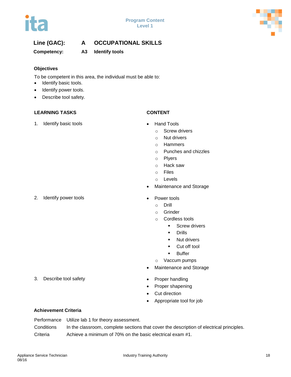

# **Line (GAC): A OCCUPATIONAL SKILLS**

**Competency: A3 Identify tools**

## **Objectives**

To be competent in this area, the individual must be able to:

- Identify basic tools.
- Identify power tools.
- Describe tool safety.

## **LEARNING TASKS CONTENT**

1. Identify basic tools **Access 1. Constanting Constanting Constanting Constanting Constanting Constanting Constanting Constanting Constanting Constanting Constanting Constanting Constanting Constanting Constanting Const** 

- - o Screw drivers
	- o Nut drivers
	- o Hammers
	- o Punches and chizzles
	- o Plyers
	- o Hack saw
	- o Files
	- o Levels
- Maintenance and Storage
- 2. Identify power tools **COVID-10 COVID-10** Power tools
	- o Drill
	- o Grinder
	- o Cordless tools
		- **Screw drivers**
		- **Drills**
		- **Nut drivers**
		- **Cut off tool**
		- **Buffer**
	- o Vaccum pumps
	- Maintenance and Storage
- 3. Describe tool safety **Accord 20 Follows** Proper handling
	- Proper shapening
	- Cut direction
	- Appropriate tool for job

### **Achievement Criteria**

|            | Performance Utilize lab 1 for theory assessment.                                         |
|------------|------------------------------------------------------------------------------------------|
| Conditions | In the classroom, complete sections that cover the description of electrical principles. |
| Criteria   | Achieve a minimum of 70% on the basic electrical exam #1.                                |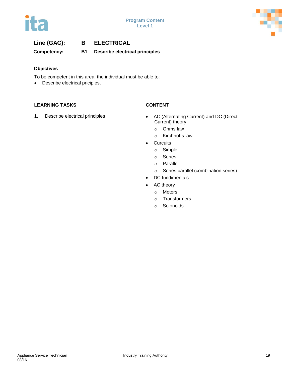

**Competency: B1 Describe electrical principles**

#### **Objectives**

To be competent in this area, the individual must be able to:

• Describe electrical priciples.

## **LEARNING TASKS CONTENT**

- 1. Describe electrical principles **and Caucal Calternating Current**) and DC (Direct Current) theory
	- o Ohms law
	- o Kirchhoffs law
	- Curcuits
		- o Simple
		- o Series
		- o Parallel
		- o Series parallel (combination series)
	- DC fundimentals
	- AC theory
		- o Motors
		- o Transformers
		- o Solonoids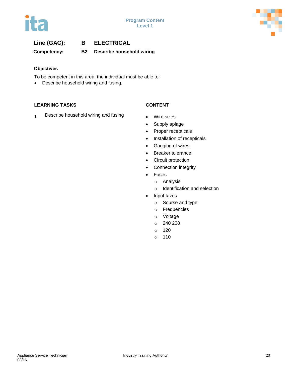

**Competency: B2 Describe household wiring**

#### **Objectives**

To be competent in this area, the individual must be able to:

Describe household wiring and fusing.

## **LEARNING TASKS CONTENT**

- $1.$  Describe household wiring and fusing  $\bullet$  Wire sizes
	-
	- Supply aplage
	- Proper recepticals
	- Installation of recepticals
	- Gauging of wires
	- Breaker tolerance
	- Circuit protection
	- Connection integrity
	- Fuses
		- o Analysis
		- o Identification and selection
	- Input fazes
		- o Sourse and type
		- o Frequencies
		- o Voltage
		- $o$  240 208
		- o 120
		- o 110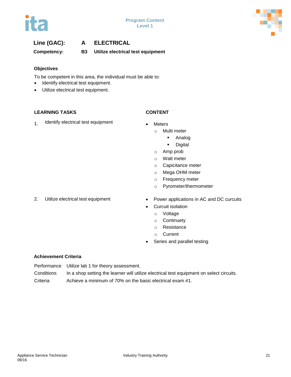

**Competency: B3 Utilize electrical test equipment**

#### **Objectives**

To be competent in this area, the individual must be able to:

- Identify electrical test equipment.
- Utilize electrical test equipment.

### **LEARNING TASKS CONTENT**

1. Identify electrical test equipment • Meters

- o Multi meter
	- **Analog**
	- **Digital**
- o Amp prob
- o Watt meter
- o Capicitance meter
- o Mega OHM meter
- o Frequency meter
- o Pyrometer/thermometer

- 
- 2. Utilize electrical test equipment Power applications in AC and DC curcuits
	- Curcuit isolation
		- o Voltage
		- o Continuety
		- o Resistance
		- o Current
	- Series and parallel testing

### **Achievement Criteria**

Performance Utilize lab 1 for theory assessment.

Conditions In a shop setting the learner will utilize electrical test equipment on select circuits.

Criteria Criteria Achieve a minimum of 70% on the basic electrical exam #1.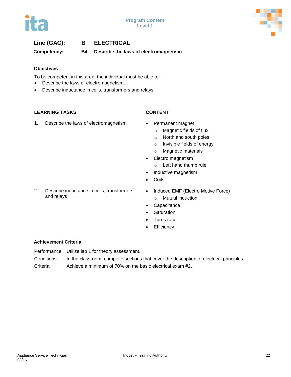**Competency: B4 Describe the laws of electromagnetism**

### **Objectives**

To be competent in this area, the individual must be able to:

- Describe the laws of electromagnetism.
- Describe inductance in coils, transformers and relays.

#### **LEARNING TASKS CONTENT**

- 1. Describe the laws of electromagnetism Permanent magnet
	- - o Magnetic fields of flux
		- o North and south poles
		- o Invisible fields of energy
		- o Magnetic materials
	- Electro magnetism
		- o Left hand thumb rule
	- Inductive magnetism
	- Coils
- 2. Describe inductance in coils, transformers and relays
- Induced EMF (Electro Motive Force) o Mutual induction
- Capacitance
- Saturation
- Turns ratio
- Efficiency

### **Achievement Criteria**

Performance Utilize lab 1 for theory assessment.

Conditions In the classroom, complete sections that cover the description of electrical principles. Criteria Achieve a minimum of 70% on the basic electrical exam #2.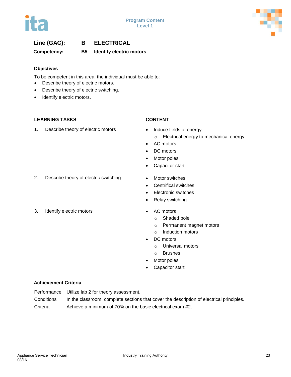

## **Competency: B5 Identify electric motors**

#### **Objectives**

To be competent in this area, the individual must be able to:

- Describe theory of electric motors.
- Describe theory of electric switching.
- Identify electric motors.

#### **LEARNING TASKS CONTENT**

1. Describe theory of electric motors **Induce fields of energy** 

- - o Electrical energy to mechanical energy
- AC motors
- DC motors
- Motor poles
- Capacitor start
- 2. Describe theory of electric switching Motor switches
- 
- 3. Identify electric motors **COM COMPACT COMPACT CONTENT COMPACT COMPACT COMPACT** 
	- o Shaded pole

 Centrifical switches • Electronic switches Relay switching

- o Permanent magnet motors
- o Induction motors
- DC motors
	- o Universal motors
	- o Brushes
- Motor poles
- Capacitor start

#### **Achievement Criteria**

Performance Utilize lab 2 for theory assessment.

Conditions In the classroom, complete sections that cover the description of electrical principles.

Criteria Achieve a minimum of 70% on the basic electrical exam #2.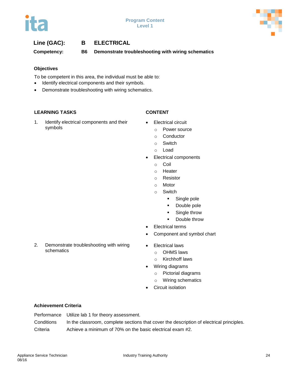

**Competency: B6 Demonstrate troubleshooting with wiring schematics**

#### **Objectives**

To be competent in this area, the individual must be able to:

- Identify electrical components and their symbols.
- Demonstrate troubleshooting with wiring schematics.

### **LEARNING TASKS CONTENT**

1. Identify electrical components and their symbols

- Electrical circuit
	- o Power source
	- o Conductor
	- o Switch
	- o Load
- Electrical components
	- o Coil
	- o Heater
	- o Resistor
	- o Motor
	- o Switch
		- **Single pole**
		- **Double pole**
		- **Single throw**
		- **Double throw**
- Electrical terms
- Component and symbol chart
- 2. Demonstrate troubleshooting with wiring schematics
- Electrical laws
	- o OHMS laws
	- o Kirchhoff laws
- Wiring diagrams
	- o Pictorial diagrams
	- o Wiring schematics
- Circuit isolation

#### **Achievement Criteria**

|            | Performance Utilize lab 1 for theory assessment.                                         |
|------------|------------------------------------------------------------------------------------------|
| Conditions | In the classroom, complete sections that cover the description of electrical principles. |
| Criteria   | Achieve a minimum of 70% on the basic electrical exam #2.                                |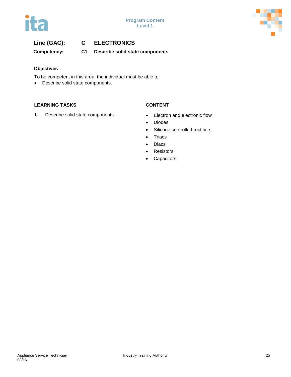

# **Line (GAC): C ELECTRONICS**

**Competency: C1 Describe solid state components** 

## **Objectives**

To be competent in this area, the individual must be able to:

Describe solid state components.

## **LEARNING TASKS CONTENT**

1. Describe solid state components <br>
• Electron and electronic flow

- 
- Diodes
- Silicone controlled rectifiers
- Triacs
- Diacs
- Resistors
- Capacitors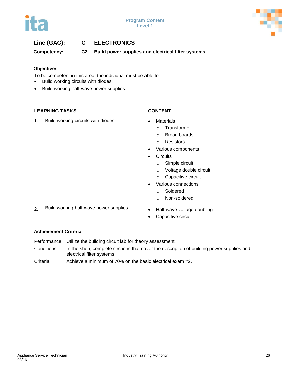

## **Line (GAC): C ELECTRONICS**

**Competency: C2 Build power supplies and electrical filter systems** 

### **Objectives**

To be competent in this area, the individual must be able to:

- Build working circuits with diodes.
- Build working half-wave power supplies.

### **LEARNING TASKS CONTENT**

1. Build working circuits with diodes **and School Containst Materials** 

- - o Transformer
	- o Bread boards
	- o Resistors
- Various components
- **Circuits** 
	- o Simple circuit
	- o Voltage double circuit
	- o Capacitive circuit
- Various connections
	- o Soldered
	- o Non-soldered
- 2. Build working half-wave power supplies Half-wave voltage doubling
	-
	- Capacitive circuit

### **Achievement Criteria**

- Performance Utilize the building circuit lab for theory assessment.
- Conditions In the shop, complete sections that cover the description of building power supplies and electrical filter systems.
- Criteria **Achieve a minimum of 70% on the basic electrical exam #2.**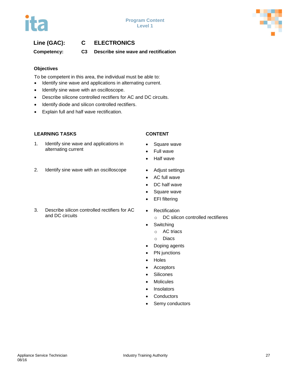# **Line (GAC): C ELECTRONICS**

**Competency: C3 Describe sine wave and rectification** 

### **Objectives**

To be competent in this area, the individual must be able to:

- Identify sine wave and applications in alternating current.
- Identify sine wave with an oscilloscope.
- Describe silicone controlled rectifiers for AC and DC circuits.
- Identify diode and silicon controlled rectifiers.
- Explain full and half wave rectification.

### **LEARNING TASKS CONTENT**

1. Identify sine wave and applications in alternating current

- Square wave
- Full wave
- Half wave
- 2. Identify sine wave with an oscilloscope Adjust settings
	- AC full wave
	- DC half wave
	- Square wave
	- EFI filtering
- 3. Describe silicon controlled rectifiers for AC and DC circuits
- Rectification
	- o DC silicon controlled rectifieres
- **Switching** 
	- o AC triacs
	- o Diacs
- Doping agents
- PN junctions
- Holes
- Acceptors
- Silicones
- **Molicules**
- Insolators
- **Conductors**
- Semy conductors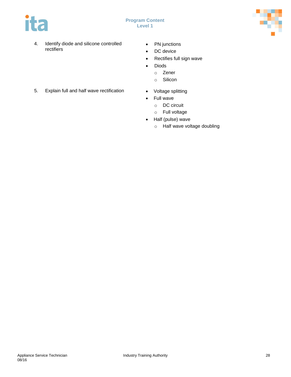

- 4. Identify diode and silicone controlled rectifiers
- PN junctions
- DC device
- Rectifies full sign wave
- Diods
	- o Zener
	- o Silicon
- 5. Explain full and half wave rectification Voltage splitting
	- Full wave
		- o DC circuit
		- o Full voltage
	- Half (pulse) wave
		- o Half wave voltage doubling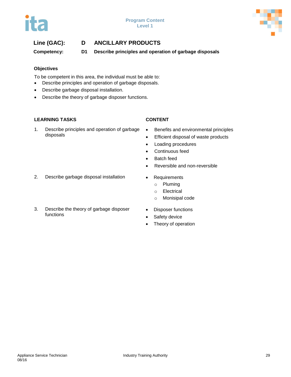

**Competency: D1 Describe principles and operation of garbage disposals**

## **Objectives**

To be competent in this area, the individual must be able to:

- Describe principles and operation of garbage disposals.
- Describe garbage disposal installation.
- Describe the theory of garbage disposer functions.

### **LEARNING TASKS CONTENT**

1. Describe principles and operation of garbage disposals

- **•** Benefits and environmental principles
- **•** Efficient disposal of waste products
- Loading procedures
- Continuous feed
- Batch feed
- Reversible and non-reversible
- 2. Describe garbage disposal installation Requirements
- 3. Describe the theory of garbage disposer functions
- o Monisipal code

o Pluming o Electrical

- Disposer functions
- Safety device
- Theory of operation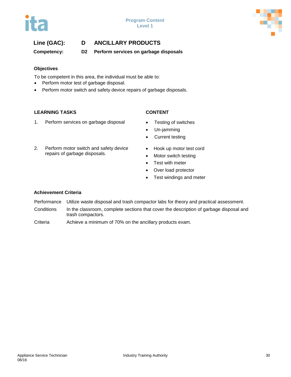

**Competency: D2 Perform services on garbage disposals**

## **Objectives**

To be competent in this area, the individual must be able to:

- Perform motor test of garbage disposal.
- Perform motor switch and safety device repairs of garbage disposals.

#### **LEARNING TASKS CONTENT**

1. Perform services on garbage disposal • Testing of switches

- Un-jamming
- Current testing
- 2. Perform motor switch and safety device repairs of garbage disposals.
- Hook up motor test cord
- Motor switch testing
- Test with meter
- Over load protector
- Test windings and meter

#### **Achievement Criteria**

- Performance Utilize waste disposal and trash compactor labs for theory and practical assessment.
- Conditions In the classroom, complete sections that cover the description of garbage disposal and trash compactors.

Criteria Achieve a minimum of 70% on the ancillary products exam.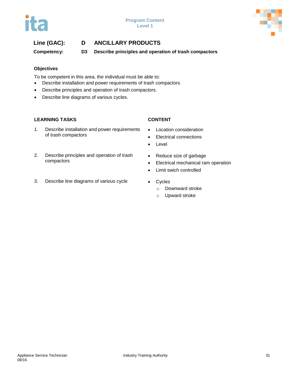

**Competency: D3 Describe principles and operation of trash compactors**

## **Objectives**

To be competent in this area, the individual must be able to:

- Describe installation and power requirements of trash compactors
- Describe principles and operation of trash compactors.
- Describe line diagrams of various cycles.

### **LEARNING TASKS CONTENT**

- 1. Describe installation and power requirements of trash compactors
- 2. Describe principles and operation of trash compactors
- 3. Describe line diagrams of various cycle **·** Cycles

- Location consideration
- Electrical connections
- Level
- Reduce size of garbage
- Electrical mechanical ram operation
- Limit swich controlled
- - o Downward stroke
	- o Upward stroke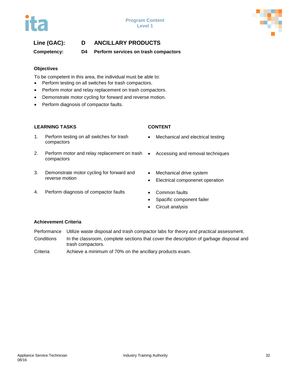

**Competency: D4 Perform services on trash compactors**

### **Objectives**

To be competent in this area, the individual must be able to:

- Perform testing on all switches for trash compactors.
- Perform motor and relay replacement on trash compactors.
- Demonstrate motor cycling for forward and reverse motion.
- Perform diagnosis of compactor faults.

### **LEARNING TASKS CONTENT**

- 1. Perform testing on all switches for trash compactors
- 2. Perform motor and relay replacement on trash compactors
- 3. Demonstrate motor cycling for forward and reverse motion
- 4. Perform diagnosis of compactor faults **Common faults**
- 
- Mechanical and electrical testing
- Accessing and removal techniques
- Mechanical drive system
- Electrical componenet operation
- 
- Spacific component failer
- Circuit analysis

### **Achievement Criteria**

- Performance Utilize waste disposal and trash compactor labs for theory and practical assessment.
- Conditions In the classroom, complete sections that cover the description of garbage disposal and trash compactors.

Criteria Achieve a minimum of 70% on the ancillary products exam.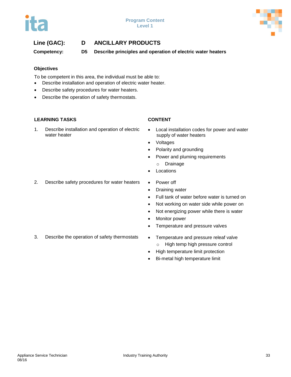

**Competency: D5 Describe principles and operation of electric water heaters**

### **Objectives**

To be competent in this area, the individual must be able to:

- Describe installation and operation of electric water heater.
- Describe safety procedures for water heaters.
- Describe the operation of safety thermostats.

### **LEARNING TASKS CONTENT**

1. Describe installation and operation of electric water heater

- Local installation codes for power and water supply of water heaters
- Voltages
- Polarity and grounding
- Power and pluming requirements o Drainage
- Locations
- 2. Describe safety procedures for water heaters Power off
	- Draining water
	- Full tank of water before water is turned on
	- Not working on water side while power on
	- Not energizing power while there is water
	- Monitor power
	- Temperature and pressure valves
- 3. Describe the operation of safety thermostats Temperature and pressure releaf valve
	- o High temp high pressure control
	- High temperature limit protection
	- Bi-metal high temperature limit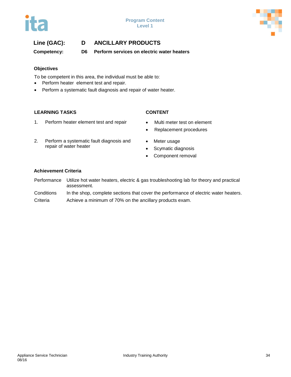

**Competency: D6 Perform services on electric water heaters**

#### **Objectives**

To be competent in this area, the individual must be able to:

- Perform heater element test and repair.
- Perform a systematic fault diagnosis and repair of water heater.

#### **LEARNING TASKS CONTENT**

1. Perform heater element test and repair • Multi meter test on element

- 
- Replacement procedures
- 2. Perform a systematic fault diagnosis and repair of water heater
- Meter usage
- Scymatic diagnosis
- Component removal

#### **Achievement Criteria**

- Performance Utilize hot water heaters, electric & gas troubleshooting lab for theory and practical assessment.
- Conditions In the shop, complete sections that cover the performance of electric water heaters.
- Criteria Achieve a minimum of 70% on the ancillary products exam.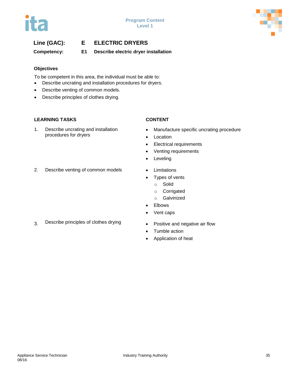

## **Line (GAC): E ELECTRIC DRYERS**

**Competency: E1 Describe electric dryer installation**

## **Objectives**

To be competent in this area, the individual must be able to:

- Describe uncrating and installation procedures for dryers.
- Describe venting of common models.
- Describe principles of clothes drying.

### **LEARNING TASKS CONTENT**

1. Describe uncrating and installation procedures for dryers

- Manufacture specific uncrating procedure
- Location
- Electrical requirements
- Venting requirements
- Leveling
- 2. Describe venting of common models Limitations
	- Types of vents
		- o Solid
		- o Corrigated
		- o Galvinized
	- Elbows
	- Vent caps
- 3. Describe principles of clothes drying <br>
 Positive and negative air flow
	-
	- Tumble action
	- Application of heat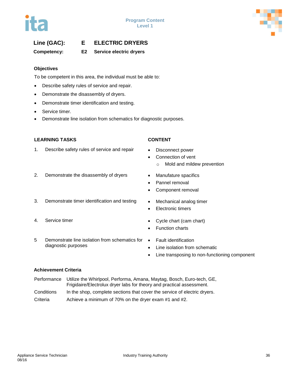

## **Line (GAC): E ELECTRIC DRYERS**

## **Competency: E2 Service electric dryers**

## **Objectives**

To be competent in this area, the individual must be able to:

- Describe safety rules of service and repair.
- Demonstrate the disassembly of dryers.
- Demonstrate timer identification and testing.
- Service timer.
- Demonstrate line isolation from schematics for diagnostic purposes.

## **LEARNING TASKS CONTENT**

1. Describe safety rules of service and repair • Disconnect power

- 
- Connection of vent
	- o Mold and mildew prevention
- 2. Demonstrate the disassembly of dryers Manufature spacifics
- 3. Demonstrate timer identification and testing Mechanical analog timer
- 
- 5 Demonstrate line isolation from schematics for  $\bullet$ diagnostic purposes

- Pannel removal
- Component removal
- 
- Electronic timers
- 4. Service timer **Cycle chart (cam chart)** Cycle chart (cam chart)
	- Function charts
	-
- Fault identification
	- Line isolation from schematic
	- Line transposing to non-functioning component

- Performance Utilize the Whirlpool, Performa, Amana, Maytag, Bosch, Euro-tech, GE, Frigidaire/Electrolux dryer labs for theory and practical assessment. Conditions In the shop, complete sections that cover the service of electric dryers.
- Criteria Achieve a minimum of 70% on the dryer exam #1 and #2.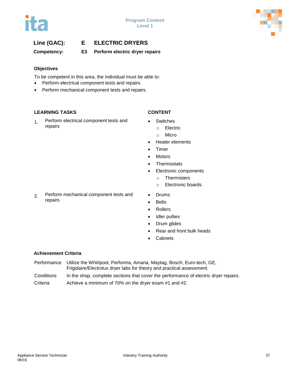

## **Line (GAC): E ELECTRIC DRYERS**

**Competency: E3 Perform electric dryer repairs**

### **Objectives**

To be competent in this area, the individual must be able to:

- Perform electrical component tests and repairs.
- Perform mechanical component tests and repairs.

## **LEARNING TASKS CONTENT**

1. Perform electrical component tests and repairs

2. Perform mechanical component tests and

- Switches
	- o Electric
	- o Micro
- Heater elements
- Timer
- **Motors**
- **Thermostats**
- Electronic components
	- o Thermisters
	- o Electronic boards
- Drums
- **Belts**
- Rollers
- Idler pullies
- Drum glides
- Rear and front bulk heads
- **Cabnets**

### **Achievement Criteria**

repairs

Performance Utilize the Whirlpool, Performa, Amana, Maytag, Bosch, Euro-tech, GE, Frigidaire/Electrolux dryer labs for theory and practical assessment.

Conditions In the shop, complete sections that cover the performance of electric dryer repairs.

Criteria Achieve a minimum of 70% on the dryer exam #1 and #2.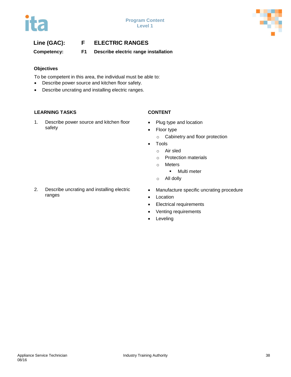

## **Line (GAC): F ELECTRIC RANGES**

**Competency: F1 Describe electric range installation**

### **Objectives**

To be competent in this area, the individual must be able to:

- Describe power source and kitchen floor safety.
- Describe uncrating and installing electric ranges.

## **LEARNING TASKS CONTENT**

1. Describe power source and kitchen floor safety

- Plug type and location
- Floor type
	- o Cabinetry and floor protection
- Tools
	- o Air sled
	- o Protection materials
	- o Meters
		- **Multi meter**
	- o All dolly
- 2. Describe uncrating and installing electric ranges
- Manufacture specific uncrating procedure
- Location
- Electrical requirements
- Venting requirements
- Leveling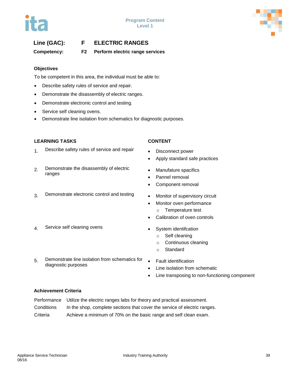## **Line (GAC): F ELECTRIC RANGES**

**Competency: F2 Perform electric range services**

## **Objectives**

To be competent in this area, the individual must be able to:

- Describe safety rules of service and repair.
- Demonstrate the disassembly of electric ranges.
- Demonstrate electronic control and testing.
- Service self cleaning ovens.
- Demonstrate line isolation from schematics for diagnostic purposes.

## **LEARNING TASKS CONTENT**

- 1. Describe safety rules of service and repair **.** Disconnect power
- 2. Demonstrate the disassembly of electric ranges
- 3. Demonstrate electronic control and testing <br>
Monitor of supervisory circuit
- 4. Service self cleaning ovens **System** identification

- 
- Apply standard safe practices
- Manufature spacifics
- Pannel removal
- Component removal
- 
- Monitor oven performance o Temperature test
- Calibration of oven controls
- - o Self cleaning
	- o Continuous cleaning
	- o Standard
- 5. Demonstrate line isolation from schematics for diagnostic purposes
- Fault identification
- Line isolation from schematic
- Line transposing to non-functioning component

|            | Performance Utilize the electric ranges labs for theory and practical assessment. |
|------------|-----------------------------------------------------------------------------------|
| Conditions | In the shop, complete sections that cover the service of electric ranges.         |
| Criteria   | Achieve a minimum of 70% on the basic range and self clean exam.                  |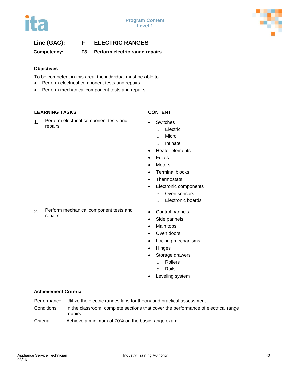

## **Line (GAC): F ELECTRIC RANGES**

**Competency: F3 Perform electric range repairs**

### **Objectives**

To be competent in this area, the individual must be able to:

- Perform electrical component tests and repairs.
- Perform mechanical component tests and repairs.

### **LEARNING TASKS CONTENT**

1. Perform electrical component tests and repairs

- Switches
	- o Electric
	- o Micro
	- o Infinate
- Heater elements
- Fuzes
- **Motors**
- Terminal blocks
- **Thermostats**
- Electronic components
	- o Oven sensors
	- o Electronic boards
- 2. Perform mechanical component tests and repairs
- Control pannels
- Side pannels
- Main tops
- Oven doors
- Locking mechanisms
- Hinges
- Storage drawers
	- o Rollers
	- o Rails
- Leveling system

- Performance Utilize the electric ranges labs for theory and practical assessment.
- Conditions In the classroom, complete sections that cover the performance of electrical range repairs.
- Criteria Achieve a minimum of 70% on the basic range exam.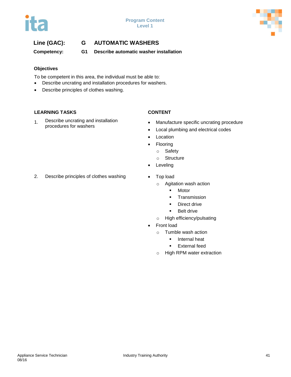

## **Line (GAC): G AUTOMATIC WASHERS**

**Competency: G1 Describe automatic washer installation** 

## **Objectives**

To be competent in this area, the individual must be able to:

- Describe uncrating and installation procedures for washers.
- Describe principles of clothes washing.

## **LEARNING TASKS CONTENT**

1. Describe uncrating and installation procedures for washers

- Manufacture specific uncrating procedure
- Local plumbing and electrical codes
- Location
- Flooring
	- o Safety
	- o Structure
- Leveling
- - o Agitation wash action
		- **-** Motor
		- **Transmission**
		- **Direct drive**
		- **Belt drive**
	- o High efficiency/pulsating
	- Front load
		- o Tumble wash action
			- **Internal heat**
			- **External feed**
		- o High RPM water extraction

2. Describe principles of clothes washing • Top load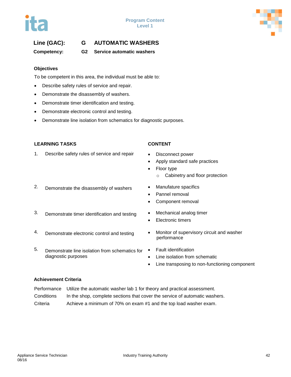

## **Line (GAC): G AUTOMATIC WASHERS**

**Competency: G2 Service automatic washers**

## **Objectives**

To be competent in this area, the individual must be able to:

- Describe safety rules of service and repair.
- Demonstrate the disassembly of washers.
- Demonstrate timer identification and testing.
- Demonstrate electronic control and testing.
- Demonstrate line isolation from schematics for diagnostic purposes.

### **LEARNING TASKS CONTENT**

1. Describe safety rules of service and repair • Disconnect power

- 
- Apply standard safe practices
- Floor type
	- o Cabinetry and floor protection
- 2. Demonstrate the disassembly of washers Manufature spacifics
- 3. Demonstrate timer identification and testing Mechanical analog timer
- 
- 5. Demonstrate line isolation from schematics for diagnostic purposes
- Pannel removal
- Component removal
- 
- Electronic timers
- 4. Demonstrate electronic control and testing Monitor of supervisory circuit and washer performance
	- Fault identification
	- Line isolation from schematic
	- Line transposing to non-functioning component

- Performance Utilize the automatic washer lab 1 for theory and practical assessment.
- Conditions In the shop, complete sections that cover the service of automatic washers.
- Criteria Achieve a minimum of 70% on exam #1 and the top load washer exam.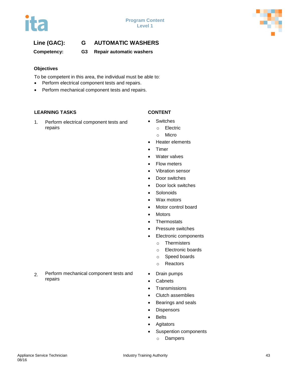

## **Line (GAC): G AUTOMATIC WASHERS**

**Competency: G3 Repair automatic washers**

## **Objectives**

To be competent in this area, the individual must be able to:

- Perform electrical component tests and repairs.
- Perform mechanical component tests and repairs.

## **LEARNING TASKS CONTENT**

1. Perform electrical component tests and repairs

- Switches
	- o Electric
	- o Micro
- Heater elements
- Timer
- Water valves
- Flow meters
- Vibration sensor
- Door switches
- Door lock switches
- Solonoids
- Wax motors
- Motor control board
- **Motors**
- **Thermostats**
- Pressure switches
- Electronic components
	- o Thermisters
	- o Electronic boards
	- o Speed boards
	- o Reactors
- 2. Perform mechanical component tests and repairs
- Drain pumps
- Cabnets
- Transmissions
- Clutch assemblies
- Bearings and seals
- **•** Dispensors
- Belts
- Agitators
- Suspention components
	- o Dampers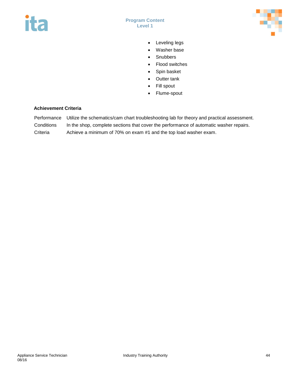



- Leveling legs
- Washer base
- Snubbers
- Flood switches
- Spin basket
- Outter tank
- Fill spout
- Flume-spout

- Performance Utilize the schematics/cam chart troubleshooting lab for theory and practical assessment.
- Conditions In the shop, complete sections that cover the performance of automatic washer repairs.
- Criteria Achieve a minimum of 70% on exam #1 and the top load washer exam.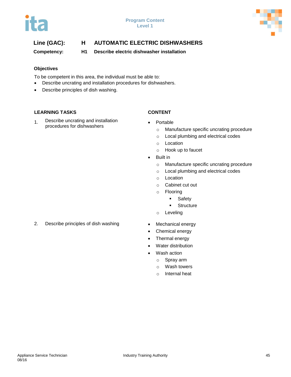

## **Line (GAC): H AUTOMATIC ELECTRIC DISHWASHERS**

**Competency: H1 Describe electric dishwasher installation**

## **Objectives**

To be competent in this area, the individual must be able to:

- Describe uncrating and installation procedures for dishwashers.
- Describe principles of dish washing.

## **LEARNING TASKS CONTENT**

1. Describe uncrating and installation procedures for dishwashers

- Portable
	- o Manufacture specific uncrating procedure
	- o Local plumbing and electrical codes
	- o Location
	- o Hook up to faucet
- Built in
	- o Manufacture specific uncrating procedure
	- o Local plumbing and electrical codes
	- o Location
	- o Cabinet cut out
	- o Flooring
		- **Safety**
		- **Structure**
	- o Leveling
- 2. Describe principles of dish washing Mechanical energy
	- Chemical energy
	- Thermal energy
	- Water distribution
	- Wash action
		- o Spray arm
		- o Wash towers
		- o Internal heat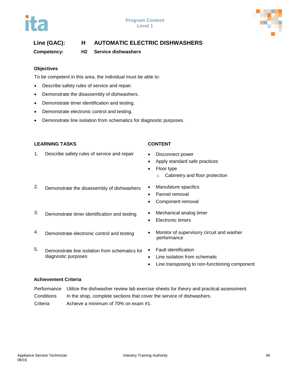

## **Line (GAC): H AUTOMATIC ELECTRIC DISHWASHERS**

**Competency: H2 Service dishwashers**

## **Objectives**

To be competent in this area, the individual must be able to:

- Describe safety rules of service and repair.
- Demonstrate the disassembly of dishwashers.
- Demonstrate timer identification and testing.
- Demonstrate electronic control and testing.
- Demonstrate line isolation from schematics for diagnostic purposes.

## **LEARNING TASKS CONTENT**

1. Describe safety rules of service and repair • Disconnect power

- 
- Apply standard safe practices
- Floor type
	- o Cabinetry and floor protection
- 2. Demonstrate the disassembly of dishwashers . Manufature spacifics
- 3. Demonstrate timer identification and testing Mechanical analog timer
- 
- 5. Demonstrate line isolation from schematics for diagnostic purposes
- 
- Pannel removal
- Component removal
- 
- Electronic timers
- 4. Demonstrate electronic control and testing Monitor of supervisory circuit and washer performance
	- Fault identification
	- Line isolation from schematic
	- Line transposing to non-functioning component

|            | Performance Utilize the dishwasher review lab exercise sheets for theory and practical assessment. |
|------------|----------------------------------------------------------------------------------------------------|
| Conditions | In the shop, complete sections that cover the service of dishwashers.                              |
| Criteria   | Achieve a minimum of 70% on exam #1.                                                               |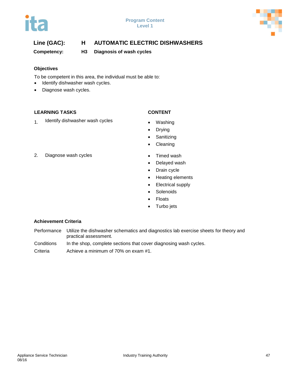

## **Line (GAC): H AUTOMATIC ELECTRIC DISHWASHERS**

**Competency: H3 Diagnosis of wash cycles**

## **Objectives**

To be competent in this area, the individual must be able to:

- Identify dishwasher wash cycles.
- Diagnose wash cycles.

## **LEARNING TASKS CONTENT**

1. Identify dishwasher wash cycles **COV COV COV COV COV COV COV COV COV COV COV COV COV COV COV COV COV COV COV COV COV COV COV COV COV COV COV COV COV COV COV**

- 
- Drying
- **Sanitizing**
- Cleaning
- 2. Diagnose wash cycles **Timed wash Timed wash** 
	-
	- Delayed wash
	- Drain cycle
	- Heating elements
	- Electrical supply
	- **Solenoids**
	- Floats
	- Turbo jets

- Performance Utilize the dishwasher schematics and diagnostics lab exercise sheets for theory and practical assessment.
- Conditions In the shop, complete sections that cover diagnosing wash cycles.
- Criteria Achieve a minimum of 70% on exam #1.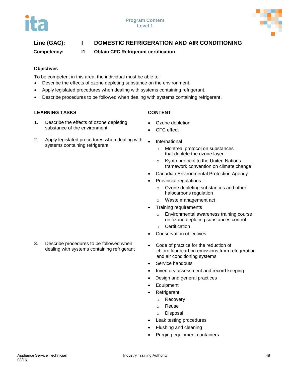

## **Line (GAC): I DOMESTIC REFRIGERATION AND AIR CONDITIONING**

**Competency: I1 Obtain CFC Refrigerant certification**

## **Objectives**

To be competent in this area, the individual must be able to:

- Describe the effects of ozone depleting substance on the environment.
- Apply legislated procedures when dealing with systems containing refrigerant.
- Describe procedures to be followed when dealing with systems containing refrigerant.

## **LEARNING TASKS CONTENT**

- 1. Describe the effects of ozone depleting
	- substance of the environment
- 2. Apply legislated procedures when dealing with systems containing refrigerant

- Ozone depletion
- CFC effect
- International
	- o Montreal protocol on substances that deplete the ozone layer
	- o Kyoto protocol to the United Nations framework convention on climate change
- Canadian Environmental Protection Agency
- Provincial regulations
	- o Ozone depleting substances and other halocarbons regulation
	- o Waste management act
- Training requirements
	- o Environmental awareness training course on ozone depleting substances control
	- o Certification
- Conservation objectives
- Code of practice for the reduction of chlorofluorocarbon emissions from refrigeration and air conditioning systems
- Service handouts
- Inventory assessment and record keeping
- Design and general practices
- Equipment
- **Refrigerant** 
	- o Recovery
	- o Reuse
	- o Disposal
- Leak testing procedures
- Flushing and cleaning
- Purging equipment containers

3. Describe procedures to be followed when dealing with systems containing refrigerant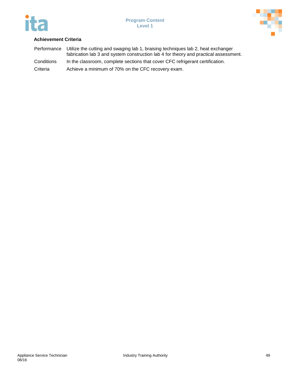



- Performance Utilize the cutting and swaging lab 1, braising techniques lab 2, heat exchanger fabrication lab 3 and system construction lab 4 for theory and practical assessment. Conditions In the classroom, complete sections that cover CFC refrigerant certification.
- Criteria Achieve a minimum of 70% on the CFC recovery exam.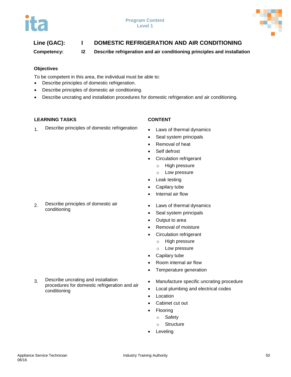

## **Line (GAC): I DOMESTIC REFRIGERATION AND AIR CONDITIONING**

**Competency: I2 Describe refrigeration and air conditioning principles and installation**

## **Objectives**

To be competent in this area, the individual must be able to:

- Describe principles of domestic refrigeration.
- Describe principles of domestic air conditioning.
- Describe uncrating and installation procedures for domestic refrigeration and air conditioning.

## **LEARNING TASKS CONTENT**

1. Describe principles of domestic refrigeration <br>
Laws of thermal dynamics

- 
- Seal system principals
- Removal of heat
- Self defrost
- Circulation refrigerant
	- o High pressure
	- o Low pressure
- Leak testing
- Capilary tube
- Internal air flow
- Laws of thermal dynamics
- Seal system principals
- Output to area
- Removal of moisture
- Circulation refrigerant
	- o High pressure
	- o Low pressure
- Capilary tube
- Room internal air flow
- Temperature generation
- Manufacture specific uncrating procedure
- Local plumbing and electrical codes
- Location
- Cabinet cut out
- Flooring
	- o Safety
	- o Structure
- Leveling

conditioning

2. Describe principles of domestic air

3. Describe uncrating and installation procedures for domestic refrigeration and air conditioning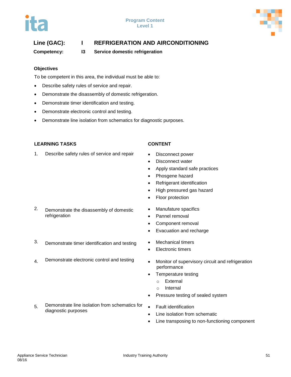

## **Line (GAC): I REFRIGERATION AND AIRCONDITIONING**

**Competency: I3 Service domestic refrigeration**

## **Objectives**

To be competent in this area, the individual must be able to:

- Describe safety rules of service and repair.
- Demonstrate the disassembly of domestic refrigeration.
- Demonstrate timer identification and testing.
- Demonstrate electronic control and testing.
- Demonstrate line isolation from schematics for diagnostic purposes.

## **LEARNING TASKS CONTENT**

refrigeration

1. Describe safety rules of service and repair • Disconnect power

2. Demonstrate the disassembly of domestic

- 
- Disconnect water
- Apply standard safe practices
- Phosgene hazard
- Refrigerant identification
- High pressured gas hazard
- Floor protection
- Manufature spacifics
- Pannel removal
- Component removal
- Evacuation and recharge
- 3. Demonstrate timer identification and testing Mechanical timers
	- Electronic timers
- 4. Demonstrate electronic control and testing <br>
Monitor of supervisory circuit and refrigeration performance
	- Temperature testing
		- o External
		- o Internal
	- Pressure testing of sealed system
- 5. Demonstrate line isolation from schematics for diagnostic purposes
- Fault identification
- Line isolation from schematic
- Line transposing to non-functioning component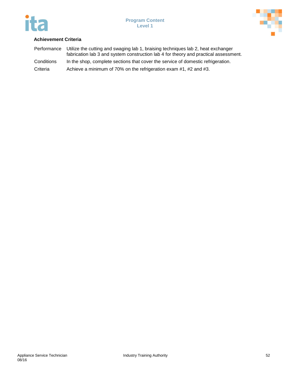



| Performance | Utilize the cutting and swaging lab 1, braising techniques lab 2, heat exchanger<br>fabrication lab 3 and system construction lab 4 for theory and practical assessment. |
|-------------|--------------------------------------------------------------------------------------------------------------------------------------------------------------------------|
| Conditions  | In the shop, complete sections that cover the service of domestic refrigeration.                                                                                         |
| Criteria    | Achieve a minimum of 70% on the refrigeration exam #1, #2 and #3.                                                                                                        |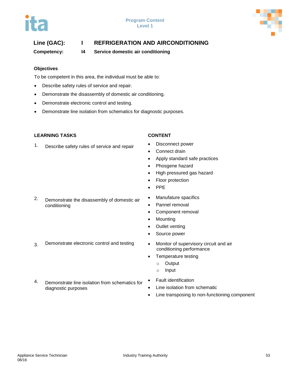

## **Line (GAC): I REFRIGERATION AND AIRCONDITIONING**

**Competency: I4 Service domestic air conditioning**

## **Objectives**

To be competent in this area, the individual must be able to:

- Describe safety rules of service and repair.
- Demonstrate the disassembly of domestic air conditioning.
- Demonstrate electronic control and testing.
- Demonstrate line isolation from schematics for diagnostic purposes.

### **LEARNING TASKS CONTENT**

conditioning

1. Describe safety rules of service and repair <br> **Disconnect power** 

2. Demonstrate the disassembly of domestic air

- 
- Connect drain
- Apply standard safe practices
- Phosgene hazard
- High pressured gas hazard
- Floor protection
- $\bullet$  PPE
- Manufature spacifics
- Pannel removal
- Component removal
- Mounting
- Outlet venting
- Source power
- 3 Demonstrate electronic control and testing Monitor of supervisory circuit and air conditioning performance
	- Temperature testing
		- o Output
		- o Input
- 4. Demonstrate line isolation from schematics for diagnostic purposes
- Fault identification
- Line isolation from schematic
- Line transposing to non-functioning component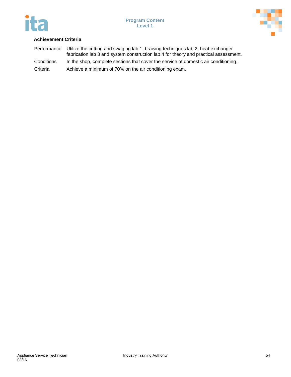



## **Achievement Criteria**

Performance Utilize the cutting and swaging lab 1, braising techniques lab 2, heat exchanger fabrication lab 3 and system construction lab 4 for theory and practical assessment. Conditions In the shop, complete sections that cover the service of domestic air conditioning. Criteria Achieve a minimum of 70% on the air conditioning exam.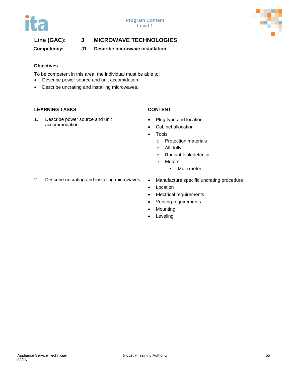

## **Line (GAC): J MICROWAVE TECHNOLOGIES**

**Competency: J1 Describe microwave installation**

## **Objectives**

To be competent in this area, the individual must be able to:

- Describe power source and unit accomidation.
- Describe uncrating and installing microwaves.

## **LEARNING TASKS CONTENT**

1. Describe power source and unit accommodation

- Plug type and location
- Cabinet allocation
- Tools
	- o Protection materials
	- o All dolly
	- o Radiant leak detector
	- o Meters
		- **Multi meter**
- 2. Describe uncrating and installing microwaves . Manufacture specific uncrating procedure
	-
	- Location
	- Electrical requirements
	- Venting requirements
	- Mounting
	- Leveling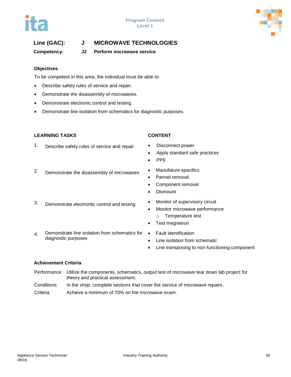## **Line (GAC): J MICROWAVE TECHNOLOGIES**

**Competency: J2 Perform microwave service**

## **Objectives**

To be competent in this area, the individual must be able to:

- Describe safety rules of service and repair.
- Demonstrate the disassembly of microwaves.
- Demonstrate electronic control and testing.
- Demonstrate line isolation from schematics for diagnostic purposes.

### **LEARNING TASKS CONTENT**

- 1. Describe safety rules of service and repair Disconnect power
	- PPE
- 2. Demonstrate the disassembly of microwaves . Manufature spacifics
- 3. Demonstrate electrontic control and testing <br>
 Monitor of supervisory circuit
- 4. Demonstrate line isolation from schematics for  $\bullet$ diagnostic purposes
- 
- 
- Apply standard safe practices
- 
- 
- Pannel removal
- Component removal
- **Dismount**
- 
- Monitor microwave performance o Temperature test
- Test megnetron
- Fault identification
- Line isolation from schematic
- Line transposing to non-functioning component

## **Achievement Criteria**

Performance Utilize the components, schematics, output test of microwave tear down lab project for theory and practical assessment.

Conditions In the shop, complete sections that cover the service of microwave repairs.

Criteria Achieve a minimum of 70% on the microwave exam.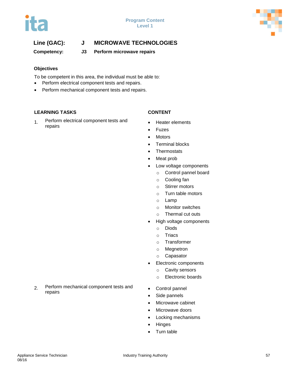

## **Line (GAC): J MICROWAVE TECHNOLOGIES**

**Competency: J3 Perform microwave repairs**

## **Objectives**

To be competent in this area, the individual must be able to:

- Perform electrical component tests and repairs.
- Perform mechanical component tests and repairs.

## **LEARNING TASKS CONTENT**

1. Perform electrical component tests and repairs

- Heater elements
- Fuzes
- **Motors**
- Terminal blocks
- **Thermostats**
- Meat prob
- Low voltage components
	- o Control pannel board
	- o Cooling fan
	- o Stirrer motors
	- o Turn table motors
	- o Lamp
	- o Monitor switches
	- o Thermal cut outs
- High voltage components
	- o Diods
	- o Triacs
	- o Transformer
	- o Megnetron
	- o Capasator
- Electronic components
	- o Cavity sensors
	- o Electronic boards
- 2. Perform mechanical component tests and repairs
- Control pannel
- Side pannels
- Microwave cabinet
- Microwave doors
- Locking mechanisms
- Hinges
- Turn table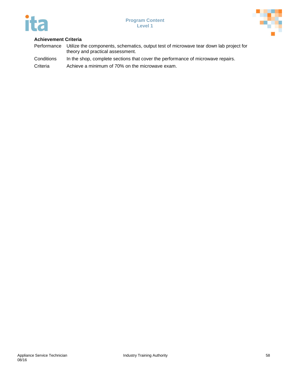



- Performance Utilize the components, schematics, output test of microwave tear down lab project for theory and practical assessment.
- Conditions In the shop, complete sections that cover the performance of microwave repairs.
- Criteria Achieve a minimum of 70% on the microwave exam.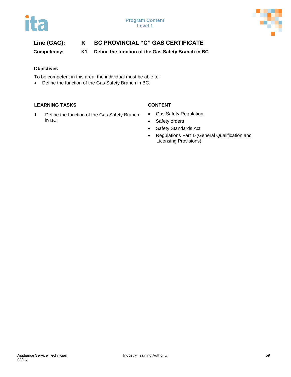

**Competency: K1 Define the function of the Gas Safety Branch in BC**

## **Objectives**

To be competent in this area, the individual must be able to:

Define the function of the Gas Safety Branch in BC.

## **LEARNING TASKS CONTENT**

- 1. Define the function of the Gas Safety Branch in BC
- Gas Safety Regulation
- Safety orders
- Safety Standards Act
- Regulations Part 1-(General Qualification and Licensing Provisions)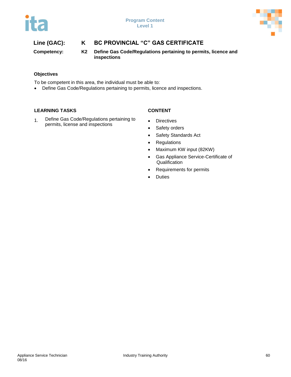

**Competency: K2 Define Gas Code/Regulations pertaining to permits, licence and inspections**

## **Objectives**

To be competent in this area, the individual must be able to:

Define Gas Code/Regulations pertaining to permits, licence and inspections.

## **LEARNING TASKS CONTENT**

1. Define Gas Code/Regulations pertaining to permits, license and inspections

- Directives
- Safety orders
- Safety Standards Act
- Regulations
- Maximum KW input (82KW)
- Gas Appliance Service-Certificate of **Qualification**
- Requirements for permits
- Duties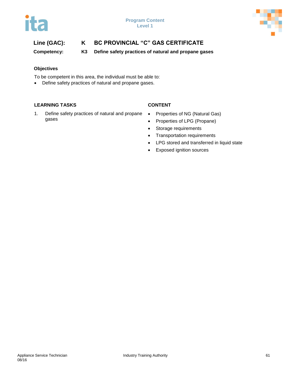

**Competency: K3 Define safety practices of natural and propane gases**

## **Objectives**

To be competent in this area, the individual must be able to:

Define safety practices of natural and propane gases.

## **LEARNING TASKS CONTENT**

- 1. Define safety practices of natural and propane gases
- Properties of NG (Natural Gas)
- Properties of LPG (Propane)
- Storage requirements
- Transportation requirements
- LPG stored and transferred in liquid state
- Exposed ignition sources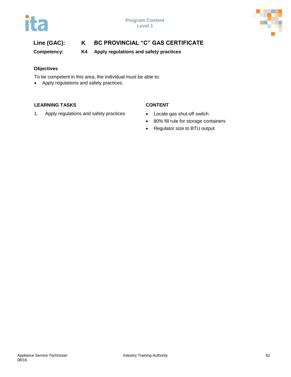



**Competency: K4 Apply regulations and safety practices**

## **Objectives**

To be competent in this area, the individual must be able to:

Apply regulations and safety practices.

## **LEARNING TASKS CONTENT**

- 1. Apply regulations and safety practices Locate gas shut-off switch
	-
	- 80% fill rule for storage containers
	- Regulator size to BTU output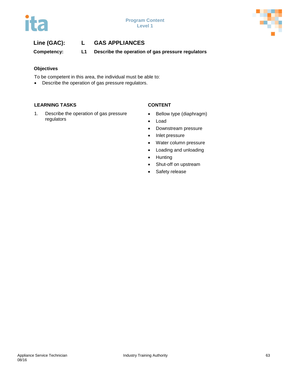

**Competency: L1 Describe the operation of gas pressure regulators**

## **Objectives**

To be competent in this area, the individual must be able to:

Describe the operation of gas pressure regulators.

## **LEARNING TASKS CONTENT**

1. Describe the operation of gas pressure regulators

- Bellow type (diaphragm)
- Load
- Downstream pressure
- Inlet pressure
- Water column pressure
- Loading and unloading
- Hunting
- Shut-off on upstream
- Safety release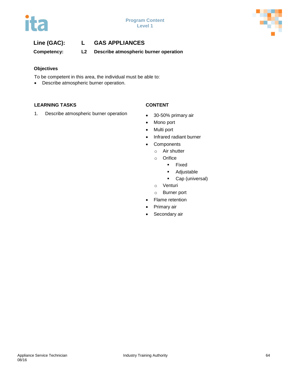

**Competency: L2 Describe atmospheric burner operation**

### **Objectives**

To be competent in this area, the individual must be able to:

Describe atmospheric burner operation.

## **LEARNING TASKS CONTENT**

- 1. Describe atmospheric burner operation 30-50% primary air
	-
	- Mono port
	- Multi port
	- Infrared radiant burner
	- **Components** 
		- o Air shutter
		- o Orifice
			- **Fixed**
			- **Adjustable**
			- Cap (universal)
		- o Venturi
		- o Burner port
	- Flame retention
	- Primary air
	- Secondary air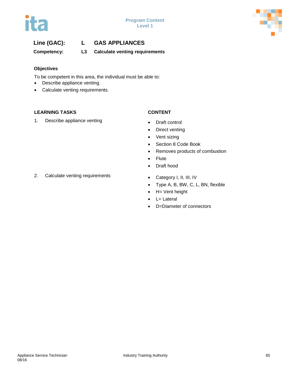

**Competency: L3 Calculate venting requirements**

### **Objectives**

To be competent in this area, the individual must be able to:

- Describe appliance venting.
- Calculate venting requirements.

## **LEARNING TASKS CONTENT**

1. Describe appliance venting **Draft control** 

- 
- Direct venting
- Vent sizing
- Section 8 Code Book
- Removes products of combustion
- Flute
- Draft hood
- 
- Type A, B, BW, C, L, BN, flexible
- H= Vent height
- L= Lateral
- D=Diameter of connectors
- 2. Calculate venting requirements <br>
 Category I, II, III, IV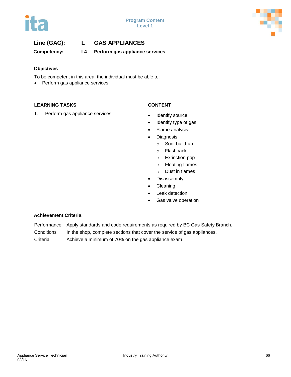

**Competency: L4 Perform gas appliance services**

### **Objectives**

To be competent in this area, the individual must be able to:

• Perform gas appliance services.

### **LEARNING TASKS CONTENT**

1. Perform gas appliance services **Interpreteral Contract Contract Perform** Performance **Identify** source

- 
- Identify type of gas
- Flame analysis
- Diagnosis
	- o Soot build-up
	- o Flashback
	- o Extinction pop
	- o Floating flames
	- o Dust in flames
- Disassembly
- Cleaning
- Leak detection
- Gas valve operation

## **Achievement Criteria**

Performance Apply standards and code requirements as required by BC Gas Safety Branch.

Conditions In the shop, complete sections that cover the service of gas appliances.

Criteria Achieve a minimum of 70% on the gas appliance exam.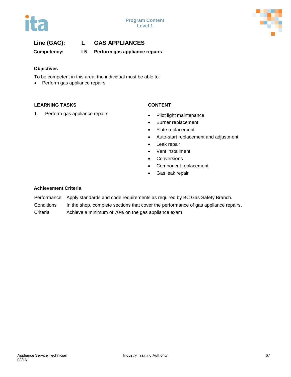

**Competency: L5 Perform gas appliance repairs**

### **Objectives**

To be competent in this area, the individual must be able to:

• Perform gas appliance repairs.

### **LEARNING TASKS CONTENT**

1. Perform gas appliance repairs **Conserverse Conservation** Pilot light maintenance

- 
- Burner replacement
- Flute replacement
- Auto-start replacement and adjustment
- Leak repair
- Vent installment
- **Conversions**
- Component replacement
- Gas leak repair

### **Achievement Criteria**

Performance Apply standards and code requirements as required by BC Gas Safety Branch. Conditions In the shop, complete sections that cover the performance of gas appliance repairs. Criteria Achieve a minimum of 70% on the gas appliance exam.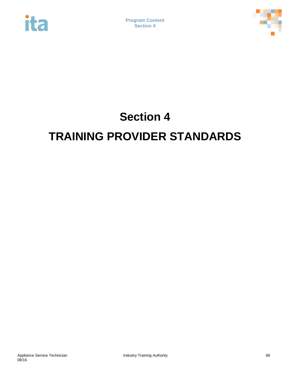



# **Section 4 TRAINING PROVIDER STANDARDS**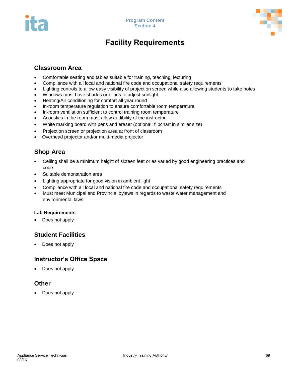

## **Facility Requirements**

## **Classroom Area**

- Comfortable seating and tables suitable for training, teaching, lecturing
- Compliance with all local and national fire code and occupational safety requirements
- Lighting controls to allow easy visibility of projection screen while also allowing students to take notes
- Windows must have shades or blinds to adjust sunlight
- Heating/Air conditioning for comfort all year round
- In-room temperature regulation to ensure comfortable room temperature
- In-room ventilation sufficient to control training room temperature
- Acoustics in the room must allow audibility of the instructor
- White marking board with pens and eraser (optional: flipchart in similar size)
- Projection screen or projection area at front of classroom
- Overhead projector and/or multi-media projector

## **Shop Area**

- Ceiling shall be a minimum height of sixteen feet or as varied by good engineering practices and code
- Suitable demonstration area
- Lighting appropriate for good vision in ambient light
- Compliance with all local and national fire code and occupational safety requirements
- Must meet Municipal and Provincial bylaws in regards to waste water management and environmental laws

### **Lab Requirements**

• Does not apply

## **Student Facilities**

Does not apply

## **Instructor's Office Space**

Does not apply

## **Other**

Does not apply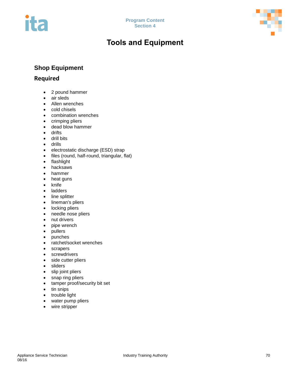

## **Tools and Equipment**



## **Shop Equipment**

## **Required**

- 2 pound hammer
- air sleds
- Allen wrenches
- cold chisels
- combination wrenches
- crimping pliers
- dead blow hammer
- drifts
- drill bits
- drills
- electrostatic discharge (ESD) strap
- files (round, half-round, triangular, flat)
- flashlight
- hacksaws
- hammer
- heat guns
- knife
- ladders
- line splitter
- lineman's pliers
- locking pliers
- needle nose pliers
- nut drivers
- pipe wrench
- pullers
- punches
- ratchet/socket wrenches
- scrapers
- **•** screwdrivers
- side cutter pliers
- sliders
- slip joint pliers
- snap ring pliers
- tamper proof/security bit set
- $\bullet$  tin snips
- trouble light
- water pump pliers
- wire stripper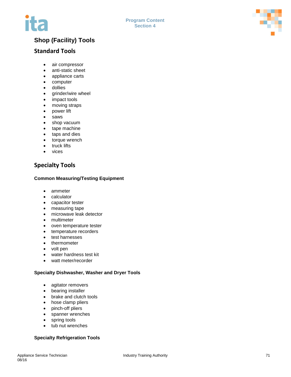



# **Shop (Facility) Tools**

## **Standard Tools**

- air compressor
- anti-static sheet
- appliance carts
- computer
- dollies
- grinder/wire wheel
- impact tools
- moving straps
- power lift
- saws
- shop vacuum
- tape machine
- taps and dies
- torque wrench
- truck lifts
- vices

## **Specialty Tools**

#### **Common Measuring/Testing Equipment**

- ammeter
- calculator
- capacitor tester
- measuring tape
- microwave leak detector
- multimeter
- oven temperature tester
- temperature recorders
- test harnesses
- thermometer
- volt pen
- water hardness test kit
- watt meter/recorder

#### **Specialty Dishwasher, Washer and Dryer Tools**

- agitator removers
- bearing installer
- brake and clutch tools
- hose clamp pliers
- pinch-off pliers
- spanner wrenches
- spring tools
- tub nut wrenches

#### **Specialty Refrigeration Tools**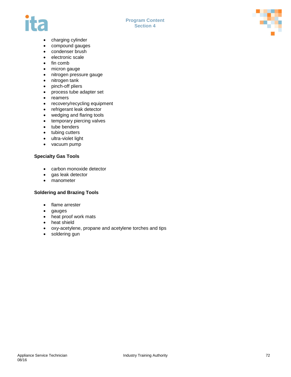

- charging cylinder
- compound gauges
- condenser brush
- electronic scale
- $\bullet$  fin comb
- micron gauge
- nitrogen pressure gauge
- nitrogen tank
- pinch-off pliers
- process tube adapter set
- reamers
- recovery/recycling equipment
- refrigerant leak detector
- wedging and flaring tools
- temporary piercing valves
- tube benders
- tubing cutters
- ultra-violet light
- vacuum pump

#### **Specialty Gas Tools**

- carbon monoxide detector
- gas leak detector
- manometer

#### **Soldering and Brazing Tools**

- flame arrester
- gauges
- heat proof work mats
- heat shield
- oxy-acetylene, propane and acetylene torches and tips
- soldering gun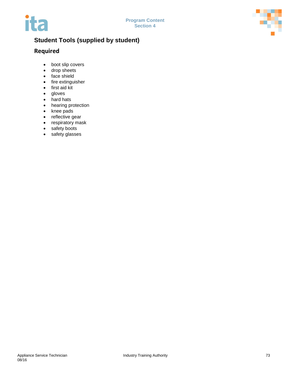



# **Student Tools (supplied by student)**

## **Required**

- boot slip covers
- drop sheets
- face shield
- fire extinguisher
- first aid kit
- gloves
- hard hats
- hearing protection
- knee pads
- reflective gear
- respiratory mask
- safety boots
- safety glasses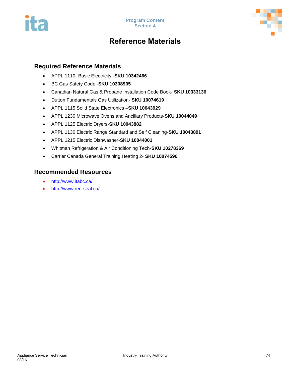

# **Reference Materials**



### **Required Reference Materials**

- APPL 1110- Basic Electricity -**SKU 10342466**
- BC Gas Safety Code -**SKU 10308905**
- Canadian Natural Gas & Propane Installation Code Book- **SKU 10333136**
- Dutton Fundamentals Gas Utilization- **SKU 10074619**
- APPL 1115 Solid State Electronics –**SKU 10043929**
- APPL 1230 Microwave Ovens and Ancillary Products-**SKU 10044049**
- APPL 1125 Electric Dryers-**SKU 10043882**
- APPL 1130 Electric Range Standard and Self Cleaning-**SKU 10043891**
- APPL 1215 Electric Dishwasher-**SKU 10044001**
- Whitman Refrigeration & Air Conditioning Tech-**SKU 10278369**
- Carrier Canada General Training Heating 2- **SKU 10074596**

#### **Recommended Resources**

- <http://www.itabc.ca/>
- <http://www.red-seal.ca/>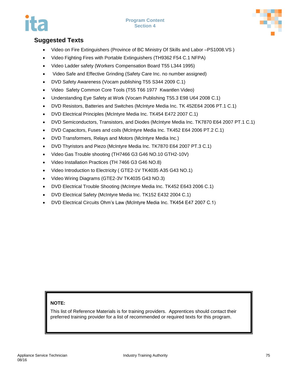



# **Suggested Texts**

- Video on Fire Extinguishers (Province of BC Ministry Of Skills and Labor –PS1008.VS )
- Video Fighting Fires with Portable Extinguishers (TH9362 F54 C.1 NFPA)
- Video Ladder safety (Workers Compensation Board T55 L344 1995)
- Video Safe and Effective Grinding (Safety Care Inc. no number assigned)
- DVD Safety Awareness (Vocam publishing T55 S344 2009 C.1)
- Video Safety Common Core Tools (T55 T66 1977 Kwantlen Video)
- Understanding Eye Safety at Work (Vocam Publishing T55.3 E98 U64 2008 C.1)
- DVD Resistors, Batteries and Switches (McIntyre Media Inc. TK 452E64 2006 PT.1 C.1)
- DVD Electrical Principles (McIntyre Media Inc. TK454 E472 2007 C.1)
- DVD Semiconductors, Transistors, and Diodes (McIntyre Media Inc. TK7870 E64 2007 PT.1 C.1)
- DVD Capacitors, Fuses and coils (McIntyre Media Inc. TK452 E64 2006 PT.2 C.1)
- DVD Transformers, Relays and Motors (McIntyre Media Inc.)
- DVD Thyristors and Piezo (McIntyre Media Inc. TK7870 E64 2007 PT.3 C.1)
- Video Gas Trouble shooting (TH7466 G3 G46 NO.10 GTH2-10V)
- Video Installation Practices (TH 7466 G3 G46 NO.8)
- Video Introduction to Electricity ( GTE2-1V TK4035 A35 G43 NO.1)
- Video Wiring Diagrams (GTE2-3V TK4035 G43 NO.3)
- DVD Electrical Trouble Shooting (McIntyre Media Inc. TK452 E643 2006 C.1)
- DVD Electrical Safety (McIntyre Media Inc. TK152 E432 2004 C.1)
- DVD Electrical Circuits Ohm's Law (McIntyre Media Inc. TK454 E47 2007 C.1)

#### **NOTE:**

This list of Reference Materials is for training providers. Apprentices should contact their preferred training provider for a list of recommended or required texts for this program.